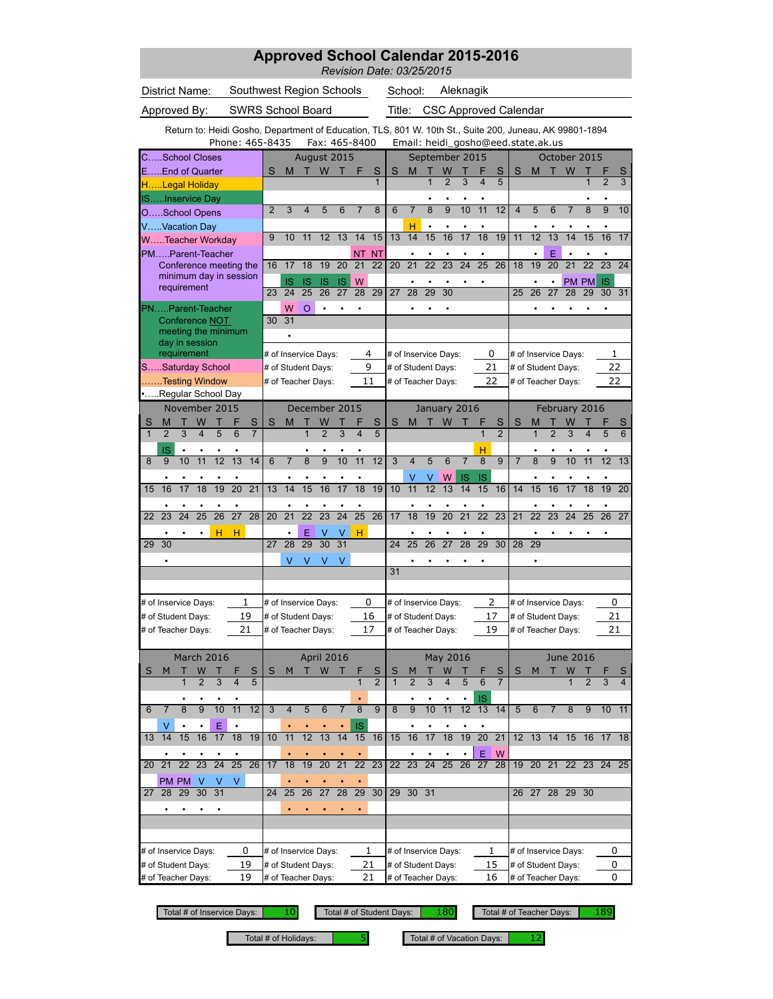| <b>Approved School Calendar 2015-2016</b><br>Revision Date: 03/25/2015                                  |                                       |                                          |                     |                                       |                 |                                |                      |                 |                                          |                     |                 |                 |                     |                         |                                    |                 |                              |                |                 |                |
|---------------------------------------------------------------------------------------------------------|---------------------------------------|------------------------------------------|---------------------|---------------------------------------|-----------------|--------------------------------|----------------------|-----------------|------------------------------------------|---------------------|-----------------|-----------------|---------------------|-------------------------|------------------------------------|-----------------|------------------------------|----------------|-----------------|----------------|
| District Name:                                                                                          |                                       | School:                                  |                     |                                       | Aleknagik       |                                |                      |                 |                                          |                     |                 |                 |                     |                         |                                    |                 |                              |                |                 |                |
| Approved By:                                                                                            | <b>SWRS School Board</b>              |                                          |                     |                                       |                 |                                | Title:               |                 | <b>CSC Approved Calendar</b>             |                     |                 |                 |                     |                         |                                    |                 |                              |                |                 |                |
| Return to: Heidi Gosho, Department of Education, TLS, 801 W. 10th St., Suite 200, Juneau, AK 99801-1894 | Phone: 465-8435                       |                                          |                     | Fax: 465-8400                         |                 |                                |                      |                 |                                          |                     |                 |                 |                     |                         | Email: heidi gosho@eed.state.ak.us |                 |                              |                |                 |                |
| CSchool Closes                                                                                          |                                       |                                          |                     | August 2015                           |                 |                                |                      |                 | September 2015                           |                     |                 |                 |                     |                         |                                    |                 | October 2015                 |                |                 |                |
| EEnd of Quarter                                                                                         |                                       | S<br>M                                   |                     | W                                     | F               | S                              | S                    | M               | $\overline{1}$                           | W<br>$\overline{2}$ | 3               | 4               | S<br>5              | S                       | M                                  |                 | W                            |                |                 | S<br>3         |
| HLegal Holiday                                                                                          |                                       |                                          |                     |                                       |                 | 1                              |                      |                 |                                          |                     |                 |                 |                     |                         |                                    |                 |                              | 1              | $\overline{2}$  |                |
| ISInservice Day<br>OSchool Opens                                                                        |                                       | $\overline{2}$<br>3                      | 4                   | 5<br>6                                | 7               | 8                              | 6                    | $\overline{7}$  | 8                                        | 9                   | 10              | 11              | 12                  | $\overline{\mathbf{4}}$ | 5                                  | 6               | $\overline{7}$               | 8              | 9               | 10             |
| VVacation Day                                                                                           |                                       |                                          |                     |                                       |                 |                                |                      | н               | $\bullet$                                |                     |                 |                 |                     |                         |                                    |                 |                              |                |                 |                |
| WTeacher Workday                                                                                        |                                       | 9<br>10                                  | 11                  | 12<br>13                              | 14              | 15                             | 13                   | 14              | 15                                       | 16                  | 17              | 18              | 19                  | 11                      | 12                                 | $\overline{13}$ | 14                           | 15             | 16              | 17             |
| PMParent-Teacher<br>Conference meeting the                                                              |                                       | 17<br>16                                 | 18                  | 20<br>19                              | <b>NT</b><br>21 | <b>NT</b><br>22                | 20                   | 21              | $\overline{22}$                          | $\overline{23}$     | $\overline{24}$ | $\overline{25}$ | 26                  | 18                      | 19                                 | E<br>20         | 21                           | 22             | 23              | 24             |
| minimum day in session                                                                                  |                                       | IS                                       | IS                  | <b>IS</b><br><b>IS</b>                | W               |                                |                      |                 |                                          |                     |                 |                 |                     |                         |                                    |                 | PM PM                        |                | <b>IS</b>       |                |
| requirement                                                                                             |                                       | 24<br>23                                 | 25                  | 26<br>27                              | 28              | 29                             | 27                   | 28              | 29                                       | 30                  |                 |                 |                     | 25                      | 26                                 | 27              | 28                           | 29             | 30              | 31             |
| PNParent-Teacher                                                                                        |                                       | W                                        | $\Omega$            | $\bullet$                             |                 |                                |                      |                 |                                          |                     |                 |                 |                     |                         |                                    |                 |                              |                |                 |                |
| Conference NOT<br>meeting the minimum<br>day in session                                                 |                                       | 31<br>30                                 |                     |                                       |                 |                                |                      |                 |                                          |                     |                 |                 |                     |                         |                                    |                 |                              |                |                 |                |
| requirement                                                                                             |                                       | # of Inservice Days:                     |                     |                                       |                 | 4                              |                      |                 | # of Inservice Days:                     |                     |                 | 0               |                     |                         |                                    |                 | # of Inservice Days:         |                | 1               |                |
| SSaturday School<br>Testing Window                                                                      |                                       | # of Student Days:<br># of Teacher Days: |                     |                                       |                 | 9<br>11                        |                      |                 | # of Student Days:<br># of Teacher Days: |                     |                 | 21<br>22        |                     |                         | # of Student Days:                 |                 | # of Teacher Days:           |                | 22<br>22        |                |
| Regular School Day                                                                                      |                                       |                                          |                     |                                       |                 |                                |                      |                 |                                          |                     |                 |                 |                     |                         |                                    |                 |                              |                |                 |                |
| November 2015                                                                                           |                                       |                                          |                     | December 2015                         |                 |                                |                      |                 | January 2016                             |                     |                 |                 |                     |                         |                                    |                 | February 2016                |                |                 |                |
| S<br>W<br>Т<br>М<br>$\overline{2}$<br>$\overline{3}$<br>$\overline{\mathbf{4}}$<br>5<br>$\mathbf{1}$    | S<br>$\overline{6}$<br>$\overline{7}$ | S<br>M                                   | т<br>$\overline{1}$ | W<br>$\overline{2}$<br>$\overline{3}$ | 4               | $\mathbf{s}$<br>$\overline{5}$ | S                    | M               | т                                        | W                   |                 | F<br>1          | S<br>$\overline{2}$ | S                       | М<br>1                             | $\overline{2}$  | W<br>$\overline{\mathbf{3}}$ |                | 5               | S<br>6         |
|                                                                                                         |                                       |                                          |                     |                                       |                 |                                |                      |                 |                                          |                     |                 |                 |                     |                         |                                    |                 |                              |                |                 |                |
| ΙŚ<br>11<br>12<br>8<br>10<br>9                                                                          | 13<br>14                              | $\overline{7}$<br>6                      | $\overline{8}$      | $\overline{9}$<br>10                  | 11              | 12                             | 3                    | $\overline{4}$  | 5                                        | 6                   | $\overline{7}$  | н<br>8          | $\overline{9}$      | $\overline{7}$          | 8                                  | 9               | 10                           | 11             | 12              | 13             |
|                                                                                                         |                                       |                                          |                     |                                       |                 |                                |                      |                 | ٧                                        | W                   | IS              | IS              |                     |                         |                                    |                 |                              |                |                 |                |
| $\overline{17}$<br>$\overline{18}$<br>16<br>19<br>15                                                    | $\overline{20}$<br>$\overline{21}$    | $\overline{14}$<br>13                    | $\overline{15}$     | $\overline{16}$<br>$\overline{17}$    | $\overline{18}$ | $\overline{19}$                | $\overline{10}$      | 11              | $\overline{12}$                          | $\overline{13}$     | 14              | 15              | 16                  | 14                      | $\overline{15}$                    | 16              | $\overline{17}$              | 18             | 19              | 20             |
| $\overline{24}$<br>$\overline{25}$<br>26<br>23<br>22                                                    | $\overline{27}$<br>28                 | $\overline{21}$<br>20                    | $\overline{22}$     | $\overline{23}$<br>$\overline{24}$    | $\overline{25}$ | 26                             | 17                   | 18              | 19                                       | $\overline{20}$     | $\overline{21}$ | $\overline{22}$ | $\overline{23}$     | $\overline{21}$         | $\overline{22}$                    | $\overline{23}$ | $\overline{24}$              | 25             | 26              | 27             |
| н                                                                                                       | н                                     |                                          | Е                   | V<br>v                                | н               |                                |                      |                 |                                          |                     |                 |                 |                     |                         |                                    |                 |                              |                |                 |                |
| 29<br>30                                                                                                |                                       | 27<br>28                                 | 29                  | 30<br>31                              |                 |                                | 24                   | 25              | 26                                       | 27                  | 28              | 29              | 30                  | 28                      | 29                                 |                 |                              |                |                 |                |
|                                                                                                         |                                       | V                                        | V                   | V<br>V                                |                 |                                |                      |                 |                                          |                     |                 |                 |                     |                         |                                    |                 |                              |                |                 |                |
|                                                                                                         |                                       |                                          |                     |                                       |                 |                                | 31                   |                 |                                          |                     |                 |                 |                     |                         |                                    |                 |                              |                |                 |                |
| # of Inservice Days:                                                                                    | 1                                     | # of Inservice Days:                     |                     |                                       |                 | 0                              | # of Inservice Days: |                 |                                          |                     |                 |                 | 2                   |                         |                                    |                 | # of Inservice Days:         |                | 0               |                |
| # of Student Days:                                                                                      | 19                                    | # of Student Days:                       |                     |                                       |                 | 16                             | # of Student Days:   |                 |                                          |                     |                 |                 | 17                  |                         |                                    |                 | # of Student Days:           |                | 21              |                |
| # of Teacher Days:                                                                                      | 21                                    | # of Teacher Days:                       |                     |                                       |                 | 17                             |                      |                 | # of Teacher Days:                       |                     |                 | 19              |                     |                         |                                    |                 | # of Teacher Days:           |                | 21              |                |
|                                                                                                         |                                       |                                          |                     |                                       |                 |                                |                      |                 |                                          |                     |                 |                 |                     |                         |                                    |                 |                              |                |                 |                |
| March 2016<br>W<br>S<br>M                                                                               | S                                     | М<br>S                                   | т                   | April 2016<br>W                       |                 | S                              | S                    |                 |                                          | May 2016<br>W       |                 |                 | S                   | S                       | M                                  |                 | <b>June 2016</b><br>W        |                |                 |                |
| $\overline{2}$<br>3<br>$\mathbf{1}$                                                                     | 4<br>5                                |                                          |                     |                                       | 1               | $\overline{2}$                 | $\mathbf{1}$         | $\overline{2}$  | $\overline{3}$                           | $\overline{4}$      | 5               | 6               | $\overline{7}$      |                         |                                    |                 | $\mathbf{1}$                 | $\overline{2}$ | 3               | $\overline{4}$ |
|                                                                                                         |                                       |                                          |                     |                                       |                 |                                |                      |                 |                                          |                     | ٠               | IS              |                     |                         |                                    |                 |                              |                |                 |                |
| 10<br>8<br>9<br>7<br>6                                                                                  | 11<br>12                              | 3<br>$\overline{4}$                      | 5                   | 6<br>7                                | 8               | 9                              | 8                    | 9               | 10                                       | 11                  | 12              | 13              | 14                  | 5                       | 6                                  | $\overline{7}$  | 8                            | 9              | 10 <sup>°</sup> | 11             |
| Ε<br>V<br>14<br>15<br>16<br>17<br>13                                                                    | 18<br>19                              | 11<br>10                                 | 12                  | 13<br>14                              | IS<br>15        | 16                             | 15                   | 16              | 17                                       | 18                  | 19              | 20              | 21                  |                         | $12$ 13                            | 14              | 15                           | 16             | 17 18           |                |
|                                                                                                         |                                       |                                          |                     |                                       |                 |                                |                      |                 |                                          |                     |                 | Ε               | W                   |                         |                                    |                 |                              |                |                 |                |
| $\overline{22}$<br>23<br>$\overline{24}$<br>21<br>20                                                    | 25<br>26                              | 18<br>17                                 | 19                  | $\overline{20}$<br>21                 | $\overline{22}$ | 23                             | 22 <sub>2</sub>      | 23              | $\overline{24}$                          | 25                  | 26              | 27              | 28                  |                         | 19 20 21                           |                 |                              |                | 22 23 24 25     |                |
| PM PM<br>V<br>V                                                                                         | V                                     |                                          |                     |                                       |                 |                                |                      |                 |                                          |                     |                 |                 |                     |                         |                                    |                 |                              |                |                 |                |
| 28<br>29<br>31<br>30<br>27                                                                              |                                       | 25<br>24                                 | 26                  | 28<br>27                              | 29              | 30                             | 29                   | 30 <sup>°</sup> | 31                                       |                     |                 |                 |                     | 26                      | 27                                 |                 | 28 29                        | 30             |                 |                |
| ٠<br>$\bullet$<br>٠                                                                                     |                                       |                                          |                     |                                       |                 |                                |                      |                 |                                          |                     |                 |                 |                     |                         |                                    |                 |                              |                |                 |                |
|                                                                                                         |                                       |                                          |                     |                                       |                 |                                |                      |                 |                                          |                     |                 |                 |                     |                         |                                    |                 |                              |                |                 |                |
| # of Inservice Days:                                                                                    | 0                                     | # of Inservice Days:                     |                     |                                       |                 | 1                              |                      |                 | # of Inservice Days:                     |                     |                 | 1               |                     |                         |                                    |                 | # of Inservice Days:         |                | 0               |                |
| # of Student Days:                                                                                      | 19                                    | # of Student Days:                       |                     |                                       |                 | 21                             |                      |                 | # of Student Days:                       |                     |                 | 15              |                     |                         |                                    |                 | # of Student Days:           |                | 0               |                |
| # of Teacher Days:                                                                                      | 19                                    | # of Teacher Days:                       |                     |                                       |                 | 21                             |                      |                 | # of Teacher Days:                       |                     |                 | 16              |                     |                         |                                    |                 | # of Teacher Days:           |                | 0               |                |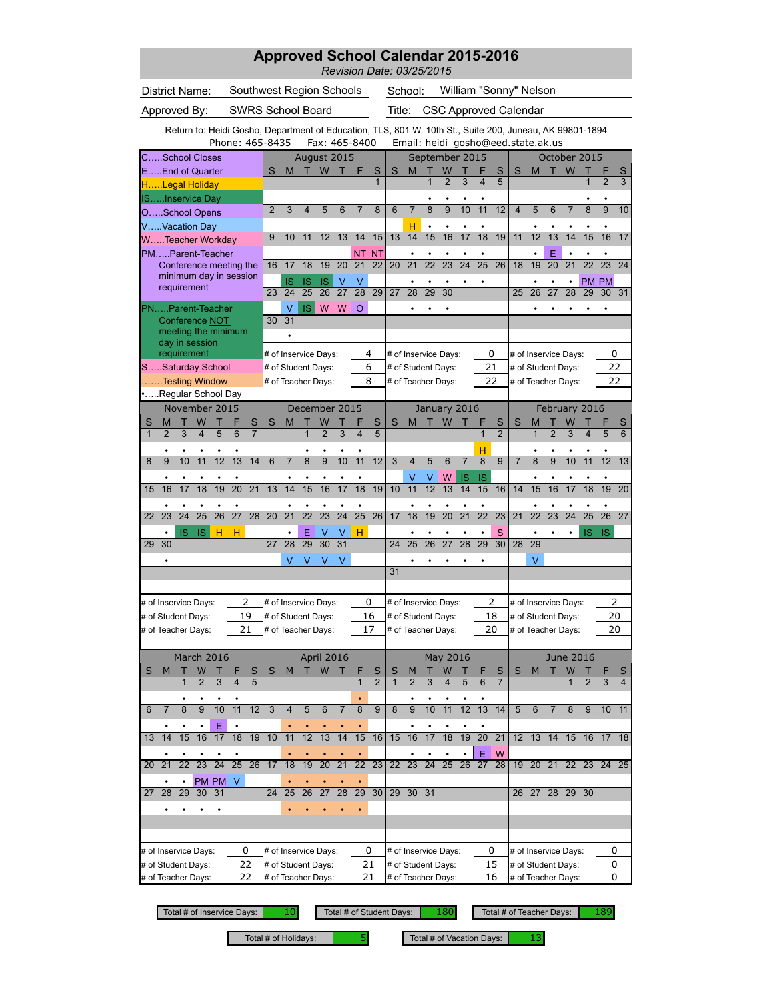| <b>Approved School Calendar 2015-2016</b><br>Revision Date: 03/25/2015                                  |                          |                                          |                     |                     |                 |                         |                                |                      |                                          |                     |                         |                 |                                    |                     |                |                    |                     |                              |                 |                 |                |
|---------------------------------------------------------------------------------------------------------|--------------------------|------------------------------------------|---------------------|---------------------|-----------------|-------------------------|--------------------------------|----------------------|------------------------------------------|---------------------|-------------------------|-----------------|------------------------------------|---------------------|----------------|--------------------|---------------------|------------------------------|-----------------|-----------------|----------------|
| District Name:                                                                                          | Southwest Region Schools |                                          |                     |                     |                 |                         |                                | School:              |                                          |                     |                         |                 | William "Sonny" Nelson             |                     |                |                    |                     |                              |                 |                 |                |
| Approved By:                                                                                            | <b>SWRS School Board</b> |                                          |                     |                     |                 |                         |                                | Title:               |                                          |                     |                         |                 | <b>CSC Approved Calendar</b>       |                     |                |                    |                     |                              |                 |                 |                |
| Return to: Heidi Gosho, Department of Education, TLS, 801 W. 10th St., Suite 200, Juneau, AK 99801-1894 | Phone: 465-8435          |                                          |                     | Fax: 465-8400       |                 |                         |                                |                      |                                          |                     |                         |                 | Email: heidi_gosho@eed.state.ak.us |                     |                |                    |                     |                              |                 |                 |                |
| CSchool Closes                                                                                          |                          |                                          |                     | August 2015         |                 |                         |                                |                      |                                          | September 2015      |                         |                 |                                    |                     |                |                    |                     | October 2015                 |                 |                 |                |
| EEnd of Quarter                                                                                         |                          | S<br>M                                   |                     | W                   | т               | F                       | S<br>$\mathbf{1}$              | S                    | M                                        | Т<br>$\overline{1}$ | W<br>$\overline{2}$     | 3               | $\overline{\mathbf{4}}$            | S<br>5              | S              | M                  |                     | W                            | 1               | $\overline{2}$  | S<br>3         |
| HLegal Holiday<br>ISInservice Day                                                                       |                          |                                          |                     |                     |                 |                         |                                |                      |                                          |                     |                         |                 |                                    |                     |                |                    |                     |                              |                 |                 |                |
| OSchool Opens                                                                                           |                          | $\overline{2}$<br>3                      | 4                   | 5                   | 6               | $\overline{7}$          | 8                              | 6                    | $\overline{7}$                           | 8                   | 9                       | 10              | 11                                 | 12                  | $\overline{4}$ | 5                  | 6                   | $\overline{7}$               | 8               | 9               | 10             |
| VVacation Day                                                                                           |                          |                                          |                     |                     |                 |                         |                                |                      | н                                        | $\bullet$           |                         |                 |                                    |                     |                |                    |                     |                              |                 |                 |                |
| WTeacher Workday                                                                                        |                          | 9<br>10                                  | 11                  | 12                  | 13              | 14                      | 15                             | 13                   | 14                                       | 15                  | 16                      | 17              | 18                                 | 19                  | 11             | 12                 | 13                  | 14                           | 15              | 16              | 17             |
| PMParent-Teacher<br>Conference meeting the                                                              |                          | 17<br>16                                 | 18                  | 19                  | 20              | <b>NT</b><br>21         | <b>NT</b><br>22                | 20                   | 21                                       | $\overline{22}$     | 23                      | $\overline{24}$ | $\overline{25}$                    | 26                  | 18             | 19                 | E<br>20             | 21                           | 22              | 23              | 24             |
| minimum day in session                                                                                  |                          | IS                                       | <b>IS</b>           | <b>IS</b>           | $\vee$          | V                       |                                |                      |                                          |                     |                         |                 |                                    |                     |                |                    |                     |                              |                 | PM PM           |                |
| requirement                                                                                             |                          | 24<br>23                                 | 25                  | 26                  | 27              | 28                      | 29                             | 27                   | 28                                       | 29                  | 30                      |                 |                                    |                     | 25             | 26                 | 27                  | 28                           | 29              | 30              | 31             |
| PNParent-Teacher                                                                                        |                          | V<br>31                                  | <b>IS</b>           | W                   | W               | $\circ$                 |                                |                      |                                          |                     |                         |                 |                                    |                     |                |                    |                     |                              |                 |                 |                |
| Conference NOT<br>meeting the minimum<br>day in session                                                 |                          | 30                                       |                     |                     |                 |                         |                                |                      |                                          |                     |                         |                 |                                    |                     |                |                    |                     |                              |                 |                 |                |
| requirement                                                                                             |                          | # of Inservice Days:                     |                     |                     |                 | 4                       |                                |                      | # of Inservice Days:                     |                     |                         |                 | 0                                  |                     |                |                    |                     | # of Inservice Days:         |                 | 0               |                |
| SSaturday School<br>Testing Window                                                                      |                          | # of Student Days:<br># of Teacher Days: |                     |                     |                 | 6<br>8                  |                                |                      | # of Student Days:<br># of Teacher Days: |                     |                         |                 | 21<br>22                           |                     |                | # of Student Days: |                     | # of Teacher Days:           |                 | 22<br>22        |                |
| Regular School Day                                                                                      |                          |                                          |                     |                     |                 |                         |                                |                      |                                          |                     |                         |                 |                                    |                     |                |                    |                     |                              |                 |                 |                |
| November 2015                                                                                           |                          |                                          |                     | December 2015       |                 |                         |                                |                      |                                          | January 2016        |                         |                 |                                    |                     |                |                    |                     | February 2016                |                 |                 |                |
| S<br>W<br>Т<br>М<br>$\overline{3}$<br>$\overline{\mathbf{4}}$<br>5<br>$\mathbf{1}$<br>$\overline{2}$    | S<br>6                   | S<br>M                                   | Т<br>$\overline{1}$ | W<br>$\overline{2}$ | $\overline{3}$  | $\overline{\mathbf{4}}$ | $\mathbf{s}$<br>$\overline{5}$ | S                    | M                                        | т                   | W                       |                 | 1                                  | S<br>$\overline{2}$ | S              | M<br>$\mathbf{1}$  | т<br>$\overline{2}$ | W<br>$\overline{\mathbf{3}}$ | 4               | 5               | S<br>6         |
|                                                                                                         |                          |                                          |                     |                     |                 |                         |                                |                      |                                          |                     |                         |                 |                                    |                     |                |                    |                     |                              |                 |                 |                |
| 11<br>12<br>9<br>10<br>8                                                                                | 13<br>14                 | $\overline{7}$<br>6                      | $\overline{8}$      | $\overline{9}$      | 10              | 11                      | 12                             | 3                    | $\overline{4}$                           | 5                   | 6                       | $\overline{7}$  | н<br>8                             | $\overline{9}$      | $\overline{7}$ | $\overline{8}$     | 9                   | 10                           | 11              | 12              | 13             |
|                                                                                                         |                          |                                          |                     |                     |                 |                         |                                |                      |                                          | ٧                   | W                       | IS              | IS                                 |                     |                |                    |                     |                              |                 |                 |                |
| $\overline{17}$<br>$\overline{18}$<br>16<br>19<br>15                                                    | $\overline{20}$<br>21    | $\overline{14}$<br>13                    | $\overline{15}$     | $\overline{16}$     | $\overline{17}$ | $\overline{18}$         | $\overline{19}$                | $\overline{10}$      | 11                                       | $\overline{12}$     | 13                      | 14              | 15                                 | 16                  | 14             | $\overline{15}$    | $\overline{16}$     | $\overline{17}$              | 18              | 19              | 20             |
| $\overline{24}$<br>$\overline{25}$<br>26<br>23<br>22                                                    | $\overline{27}$<br>28    | $\overline{21}$<br>20                    | $\overline{22}$     | $\overline{23}$     | $\overline{24}$ | $\overline{25}$         | 26                             | 17                   | $\overline{18}$                          | 19                  | $\overline{20}$         | $\overline{21}$ | $\overline{22}$                    | 23                  | 21             | $\overline{22}$    | $\overline{23}$     | $\overline{24}$              | $\overline{25}$ | $\overline{26}$ | 27             |
| <b>IS</b><br>IS<br>н                                                                                    | н                        |                                          | Ε                   | V                   | v               | н                       |                                |                      |                                          |                     |                         |                 |                                    | S                   |                |                    |                     |                              | <b>IS</b>       | <b>IS</b>       |                |
| 29<br>30                                                                                                |                          | 27<br>28                                 | 29                  | 30                  | 31              |                         |                                | 24                   | 25                                       | 26                  | 27                      | 28              | 29                                 | 30                  | 28             | 29                 |                     |                              |                 |                 |                |
|                                                                                                         |                          | V                                        | V                   | V                   | V               |                         |                                |                      |                                          |                     |                         |                 |                                    |                     |                | V                  |                     |                              |                 |                 |                |
|                                                                                                         |                          |                                          |                     |                     |                 |                         |                                | 31                   |                                          |                     |                         |                 |                                    |                     |                |                    |                     |                              |                 |                 |                |
| # of Inservice Days:                                                                                    | 2                        | # of Inservice Days:                     |                     |                     |                 | 0                       |                                | # of Inservice Days: |                                          |                     |                         |                 | 2                                  |                     |                |                    |                     | # of Inservice Days:         |                 | 2               |                |
| # of Student Days:                                                                                      | 19                       | # of Student Days:                       |                     |                     |                 | 16                      |                                | # of Student Days:   |                                          |                     |                         |                 | 18                                 |                     |                |                    |                     | # of Student Days:           |                 | 20              |                |
| # of Teacher Days:                                                                                      | 21                       | # of Teacher Days:                       |                     |                     |                 | 17                      |                                | # of Teacher Days:   |                                          |                     |                         |                 | 20                                 |                     |                |                    |                     | # of Teacher Days:           |                 | 20              |                |
|                                                                                                         |                          |                                          |                     |                     |                 |                         |                                |                      |                                          |                     |                         |                 |                                    |                     |                |                    |                     |                              |                 |                 |                |
| March 2016<br>W<br>S<br>M                                                                               | S                        | M<br>S                                   | т                   | April 2016<br>W     |                 |                         | S                              | S                    |                                          |                     | May 2016<br>W           |                 |                                    | S                   | S              | M                  |                     | <b>June 2016</b><br>W        |                 |                 | S              |
| $\overline{2}$<br>3<br>$\mathbf{1}$                                                                     | 5<br>4                   |                                          |                     |                     |                 | $\mathbf{1}$            | $\overline{2}$                 | $\mathbf{1}$         | $\overline{2}$                           | 3                   | $\overline{\mathbf{4}}$ | 5               | 6                                  | $\overline{7}$      |                |                    |                     | $\mathbf{1}$                 | $\overline{2}$  | 3               | $\overline{4}$ |
|                                                                                                         |                          |                                          |                     |                     |                 |                         |                                |                      |                                          |                     |                         |                 |                                    |                     |                |                    |                     |                              |                 |                 |                |
| 10<br>8<br>9<br>$\overline{7}$<br>6                                                                     | 11<br>12                 | 3<br>$\overline{4}$                      | 5                   | 6                   | $\overline{7}$  | 8                       | 9                              | 8                    | 9                                        | 10                  | $\overline{11}$         | 12              | 13                                 | 14                  | 5              | 6                  | $\overline{7}$      | 8                            | 9               | 10              | 11             |
| Ε<br>15<br>16<br>17<br>14<br>13                                                                         | 18<br>19                 | 11<br>10                                 | 12                  | 13                  | 14              | 15                      | 16                             | 15                   | 16                                       | 17                  | 18                      | 19              | 20                                 | 21                  |                | $12$ 13            | 14                  | 15                           | 16              | 17 18           |                |
|                                                                                                         |                          |                                          |                     |                     |                 |                         |                                |                      |                                          |                     |                         |                 | Ε                                  | W                   |                |                    |                     |                              |                 |                 |                |
| $\overline{22}$<br>23<br>24<br>21<br>20                                                                 | 25<br>26                 | 18<br>17                                 | 19                  | 20                  | 21              | 22                      | 23                             | 22                   | 23                                       | 24                  | 25                      | 26              | 27                                 | 28                  |                | 19 20 21           |                     |                              | 22 23           | 24 25           |                |
| PM PM<br>$\bullet$                                                                                      | V                        |                                          |                     |                     |                 |                         |                                |                      |                                          |                     |                         |                 |                                    |                     |                |                    |                     |                              |                 |                 |                |
| 29<br>30<br>31<br>28<br>27                                                                              |                          | 25<br>24                                 | 26                  | 27                  | 28              | 29                      | 30                             | 29                   | 30 <sup>°</sup>                          | 31                  |                         |                 |                                    |                     | 26             |                    | 27 28 29            |                              | 30              |                 |                |
| ٠<br>٠<br>٠                                                                                             |                          |                                          |                     |                     |                 |                         |                                |                      |                                          |                     |                         |                 |                                    |                     |                |                    |                     |                              |                 |                 |                |
|                                                                                                         |                          |                                          |                     |                     |                 |                         |                                |                      |                                          |                     |                         |                 |                                    |                     |                |                    |                     |                              |                 |                 |                |
| # of Inservice Days:                                                                                    | 0                        | # of Inservice Days:                     |                     |                     |                 | 0                       |                                |                      | # of Inservice Days:                     |                     |                         |                 | 0                                  |                     |                |                    |                     | # of Inservice Days:         |                 | 0               |                |
| # of Student Days:                                                                                      | 22                       | # of Student Days:                       |                     |                     |                 | 21                      |                                | # of Student Days:   |                                          |                     |                         |                 | 15                                 |                     |                |                    |                     | # of Student Days:           |                 | 0               |                |
| # of Teacher Days:                                                                                      | 22                       | # of Teacher Days:                       |                     |                     |                 | 21                      |                                |                      | # of Teacher Days:                       |                     |                         |                 | 16                                 |                     |                |                    |                     | # of Teacher Days:           |                 | 0               |                |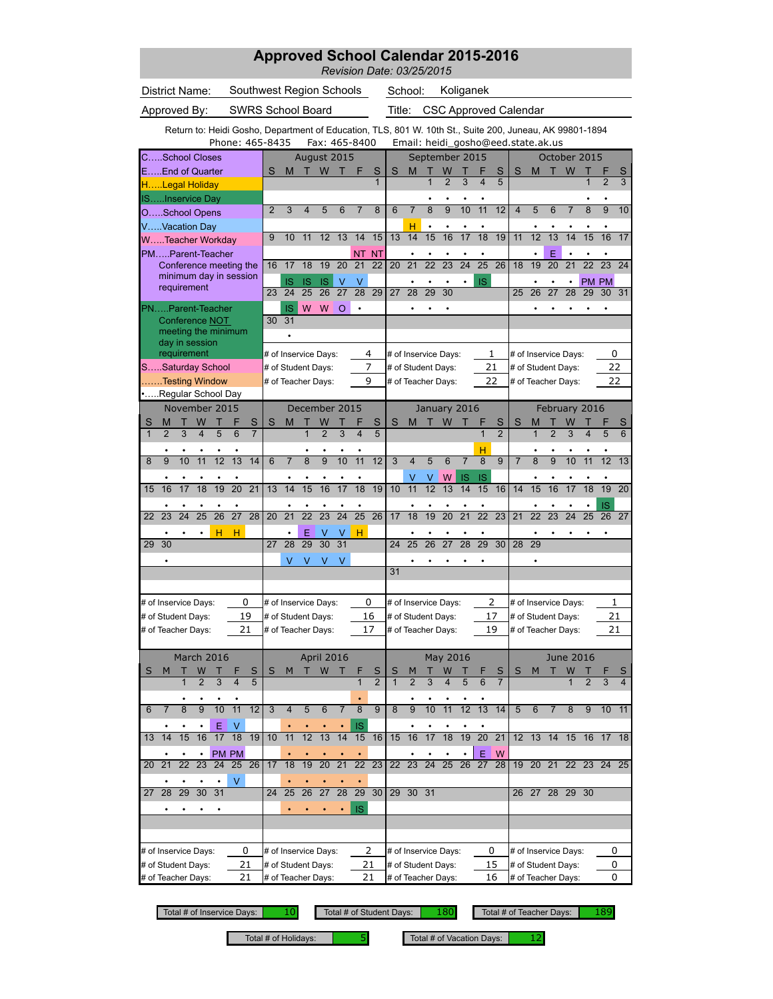| <b>Approved School Calendar 2015-2016</b><br>Revision Date: 03/25/2015                                  |                                    |                          |                                            |                                    |                                |                 |                                            |                              |                       |                         |                     |                 |                                          |                 |                                            |                |                |                |
|---------------------------------------------------------------------------------------------------------|------------------------------------|--------------------------|--------------------------------------------|------------------------------------|--------------------------------|-----------------|--------------------------------------------|------------------------------|-----------------------|-------------------------|---------------------|-----------------|------------------------------------------|-----------------|--------------------------------------------|----------------|----------------|----------------|
| District Name:                                                                                          |                                    | School:                  |                                            | Koliganek                          |                                |                 |                                            |                              |                       |                         |                     |                 |                                          |                 |                                            |                |                |                |
| Approved By:                                                                                            |                                    | <b>SWRS School Board</b> |                                            |                                    |                                | Title:          |                                            | <b>CSC Approved Calendar</b> |                       |                         |                     |                 |                                          |                 |                                            |                |                |                |
| Return to: Heidi Gosho, Department of Education, TLS, 801 W. 10th St., Suite 200, Juneau, AK 99801-1894 |                                    |                          |                                            |                                    |                                |                 |                                            |                              |                       |                         |                     |                 |                                          |                 |                                            |                |                |                |
|                                                                                                         | Phone: 465-8435                    |                          | Fax: 465-8400                              |                                    |                                |                 | Email: heidi_gosho@eed.state.ak.us         |                              |                       |                         |                     |                 |                                          |                 |                                            |                |                |                |
| CSchool Closes<br>EEnd of Quarter                                                                       |                                    | S<br>M                   | August 2015<br>W                           | F                                  | S                              | S               | September 2015<br>M                        | W                            |                       |                         | S                   | S               | M                                        |                 | October 2015<br>W                          |                |                | S              |
| HLegal Holiday                                                                                          |                                    |                          |                                            |                                    | 1                              |                 | $\overline{1}$                             | $\overline{2}$               | 3                     | $\overline{\mathbf{4}}$ | 5                   |                 |                                          |                 |                                            | $\overline{1}$ | $\overline{2}$ | 3              |
| ISInservice Day                                                                                         |                                    |                          |                                            |                                    |                                |                 |                                            |                              |                       |                         |                     |                 |                                          |                 |                                            |                |                |                |
| OSchool Opens                                                                                           |                                    | $\overline{2}$<br>3      | 5<br>4                                     | 6<br>7                             | 8                              | 6               | 8<br>$\overline{7}$                        | 9                            | 10                    | 11                      | 12                  | $\overline{4}$  | 5                                        | 6               | $\overline{7}$                             | 8              | 9              | 10             |
| VVacation Day<br>WTeacher Workday                                                                       |                                    | 9<br>10                  | 12<br>11                                   | 13<br>14                           | 15                             | 13              | н<br>$\bullet$<br>15<br>14                 | 16                           | 17                    | 18                      | 19                  | 11              | 12                                       | 13              | 14                                         | 15             | 16             | 17             |
| PMParent-Teacher                                                                                        |                                    |                          |                                            | <b>NT</b>                          | <b>NT</b>                      |                 |                                            |                              |                       |                         |                     |                 |                                          | E               |                                            |                |                |                |
| Conference meeting the<br>minimum day in session                                                        |                                    | 17<br>16                 | 18<br>19                                   | 20<br>21                           | 22                             | 20              | $\overline{22}$<br>21                      | $\overline{23}$              | $\overline{24}$       | $\overline{25}$         | 26                  | 18              | 19                                       | 20              | 21                                         | 22             | 23             | 24             |
| requirement                                                                                             |                                    | IS<br>24<br>23           | <b>IS</b><br><b>IS</b><br>25<br>26         | $\vee$<br>V<br>27<br>28            | 29                             | 27              | 28<br>29                                   | 30                           | ۰                     | <b>IS</b>               |                     | 25              | 26                                       | 27              | 28                                         | 29             | PM PM<br>30    | 31             |
| PNParent-Teacher                                                                                        |                                    | <b>IS</b>                | W<br>W                                     | O<br>$\bullet$                     |                                |                 |                                            |                              |                       |                         |                     |                 |                                          |                 |                                            |                |                |                |
| Conference NOT                                                                                          |                                    | 31<br>30                 |                                            |                                    |                                |                 |                                            |                              |                       |                         |                     |                 |                                          |                 |                                            |                |                |                |
| meeting the minimum<br>day in session                                                                   |                                    |                          |                                            |                                    |                                |                 |                                            |                              |                       |                         |                     |                 |                                          |                 |                                            |                |                |                |
| requirement<br>SSaturday School                                                                         |                                    | # of Student Days:       | # of Inservice Days:                       | 4<br>7                             |                                |                 | # of Inservice Days:<br># of Student Days: |                              |                       | 1<br>21                 |                     |                 |                                          |                 | # of Inservice Days:                       |                | 0<br>22        |                |
| Testing Window                                                                                          |                                    |                          | # of Teacher Days:                         | 9                                  |                                |                 | # of Teacher Days:                         |                              |                       | 22                      |                     |                 | # of Student Days:<br># of Teacher Days: |                 |                                            |                | 22             |                |
| Regular School Day                                                                                      |                                    |                          |                                            |                                    |                                |                 |                                            |                              |                       |                         |                     |                 |                                          |                 |                                            |                |                |                |
| November 2015                                                                                           |                                    |                          | December 2015                              |                                    |                                |                 |                                            | January 2016                 |                       |                         |                     |                 |                                          |                 | February 2016                              |                |                |                |
| S<br>W<br>Т<br>М<br>т<br>$\overline{1}$<br>5<br>$\overline{2}$<br>3                                     | S<br>$\overline{6}$                | S<br>M                   | W<br>Т<br>$\overline{2}$<br>$\overline{1}$ | $\overline{3}$<br>4                | $\mathbf{s}$<br>$\overline{5}$ | S               | M<br>т                                     | W                            |                       | 1                       | S<br>$\overline{2}$ | S               | M<br>1                                   | $\overline{2}$  | W<br>$\overline{\mathbf{3}}$               | 4              | 5              | S<br>6         |
|                                                                                                         |                                    |                          |                                            |                                    |                                |                 |                                            |                              |                       | н                       |                     |                 |                                          |                 |                                            |                |                |                |
| 11<br>12<br>8<br>9<br>10                                                                                | 13<br>14                           | $\overline{7}$<br>6      | $\overline{8}$<br>9                        | 10<br>11                           | 12                             | 3               | 5<br>$\overline{4}$                        | 6                            | $\overline{7}$        | 8                       | $\overline{9}$      | $\overline{7}$  | 8                                        | 9               | 10                                         | 11             | 12             | 13             |
| $\overline{17}$<br>$\overline{18}$<br>16<br>19<br>15                                                    | $\overline{20}$<br>$\overline{21}$ | $\overline{14}$<br>13    | $\overline{15}$<br>$\overline{16}$         | $\overline{17}$<br>$\overline{18}$ | $\overline{19}$                | $\overline{10}$ | ٧<br>$\overline{12}$<br>11                 | W<br>$\overline{13}$         | IS<br>$\overline{14}$ | IS<br>15                | 16                  | 14              | $\overline{15}$                          | $\overline{16}$ | $\overline{17}$                            | 18             | ٠<br>19        | 20             |
|                                                                                                         |                                    |                          |                                            |                                    |                                |                 |                                            |                              |                       |                         |                     |                 |                                          |                 |                                            |                | IS             |                |
| $\overline{24}$<br>$\overline{25}$<br>$\overline{26}$<br>23<br>22                                       | $\overline{27}$<br>28              | $\overline{21}$<br>20    | $\overline{22}$<br>$\overline{23}$         | $\overline{24}$<br>$\overline{25}$ | 26                             | 17              | 19<br>18                                   | $\overline{20}$              | $\overline{21}$       | $\overline{22}$         | $\overline{23}$     | $\overline{21}$ | $\overline{22}$                          | $\overline{23}$ | $\overline{24}$                            | 25             | 26             | 27             |
| н<br>29<br>30                                                                                           | н                                  | 27<br>28                 | Ε<br>v<br>$\overline{30}$<br>29            | н<br>v<br>31                       |                                | 24              | 26<br>25                                   | 27                           | 28                    | 29                      | 30                  | 28              | 29                                       |                 |                                            |                |                |                |
|                                                                                                         |                                    | V                        | V<br>V                                     | V                                  |                                |                 |                                            |                              |                       |                         |                     |                 | ٠                                        |                 |                                            |                |                |                |
|                                                                                                         |                                    |                          |                                            |                                    |                                | 31              |                                            |                              |                       |                         |                     |                 |                                          |                 |                                            |                |                |                |
|                                                                                                         | 0                                  |                          |                                            | 0                                  |                                |                 |                                            |                              |                       | 2                       |                     |                 |                                          |                 |                                            |                |                |                |
| # of Inservice Days:<br># of Student Days:                                                              | 19                                 |                          | # of Inservice Days:<br># of Student Days: | 16                                 |                                |                 | # of Inservice Days:<br># of Student Days: |                              |                       | 17                      |                     |                 |                                          |                 | # of Inservice Days:<br># of Student Days: |                | 1<br>21        |                |
| # of Teacher Days:                                                                                      | 21                                 | # of Teacher Days:       |                                            | 17                                 |                                |                 | # of Teacher Days:                         |                              |                       | 19                      |                     |                 | # of Teacher Days:                       |                 |                                            |                | 21             |                |
| March 2016                                                                                              |                                    |                          | April 2016                                 |                                    |                                |                 |                                            |                              |                       |                         |                     |                 |                                          |                 | <b>June 2016</b>                           |                |                |                |
| S<br>W<br>M                                                                                             | S                                  | S<br>M                   | W<br>т                                     |                                    | S                              | S               |                                            | May 2016<br>W                |                       |                         | S                   | S               | M                                        |                 | W                                          |                |                | S              |
| 3<br>$\overline{2}$<br>$\mathbf{1}$                                                                     | $\overline{\mathbf{4}}$<br>5       |                          |                                            | 1                                  | $\overline{2}$                 | $\mathbf{1}$    | 3<br>$\overline{2}$                        | 4                            | 5                     | 6                       | $\overline{7}$      |                 |                                          |                 | 1                                          | $\overline{2}$ | 3              | $\overline{4}$ |
| 9<br>10<br>$\overline{7}$<br>8<br>6                                                                     | 11<br>12                           | 3<br>$\overline{4}$      | 5<br>6                                     | 8<br>7                             | 9                              | 8               | ٠<br>٠<br>10<br>9                          | 11                           | 12                    | 13                      | 14                  | 5               | 6                                        | $\overline{7}$  | 8                                          | 9              | 10             | 11             |
| Ε                                                                                                       | ٧                                  |                          |                                            | IS                                 |                                |                 |                                            |                              |                       |                         |                     |                 |                                          |                 |                                            |                |                |                |
| 15<br>16<br>17<br>14<br>13                                                                              | 18<br>19                           | 11<br>10                 | 12<br>13                                   | 14<br>15                           | 16                             | 15              | 16<br>17                                   | 18                           | 19                    | 20                      | 21                  |                 | $12 \t13$                                | 14              | 15                                         | 16             | 17 18          |                |
|                                                                                                         | PM PM                              |                          |                                            |                                    |                                |                 |                                            |                              |                       | Ε                       | W                   |                 |                                          |                 |                                            |                |                |                |
| $\overline{22}$<br>23<br>21<br>24<br>20                                                                 | 25 26<br>V                         | 17<br>18                 | 19<br>20                                   | 21<br>22                           | 23                             | 22 <sub>2</sub> | $\overline{24}$<br>23                      | 25                           | 26                    | 27                      | 28                  |                 | 19 20 21                                 |                 | 22 23                                      |                | 24 25          |                |
| $\overline{28}$<br>29<br>30<br>31<br>27                                                                 |                                    | 25<br>24                 | 26<br>27                                   | 28<br>29                           | 30                             | 29              | 30 <sup>°</sup><br>31                      |                              |                       |                         |                     | 26              |                                          | 27 28 29        |                                            | 30             |                |                |
| ٠<br>٠<br>٠                                                                                             |                                    |                          |                                            | <b>IS</b>                          |                                |                 |                                            |                              |                       |                         |                     |                 |                                          |                 |                                            |                |                |                |
|                                                                                                         |                                    |                          |                                            |                                    |                                |                 |                                            |                              |                       |                         |                     |                 |                                          |                 |                                            |                |                |                |
| # of Inservice Days:                                                                                    | 0                                  |                          | # of Inservice Days:                       | 2                                  |                                |                 | # of Inservice Days:                       |                              |                       | 0                       |                     |                 |                                          |                 | # of Inservice Days:                       |                | 0              |                |
| # of Student Days:                                                                                      | 21                                 | # of Student Days:       |                                            | 21                                 |                                |                 | # of Student Days:                         |                              |                       | 15                      |                     |                 | # of Student Days:                       |                 |                                            |                | 0              |                |
| # of Teacher Days:                                                                                      | 21                                 | # of Teacher Days:       |                                            | 21                                 |                                |                 | # of Teacher Days:                         |                              |                       | 16                      |                     |                 | # of Teacher Days:                       |                 |                                            |                | 0              |                |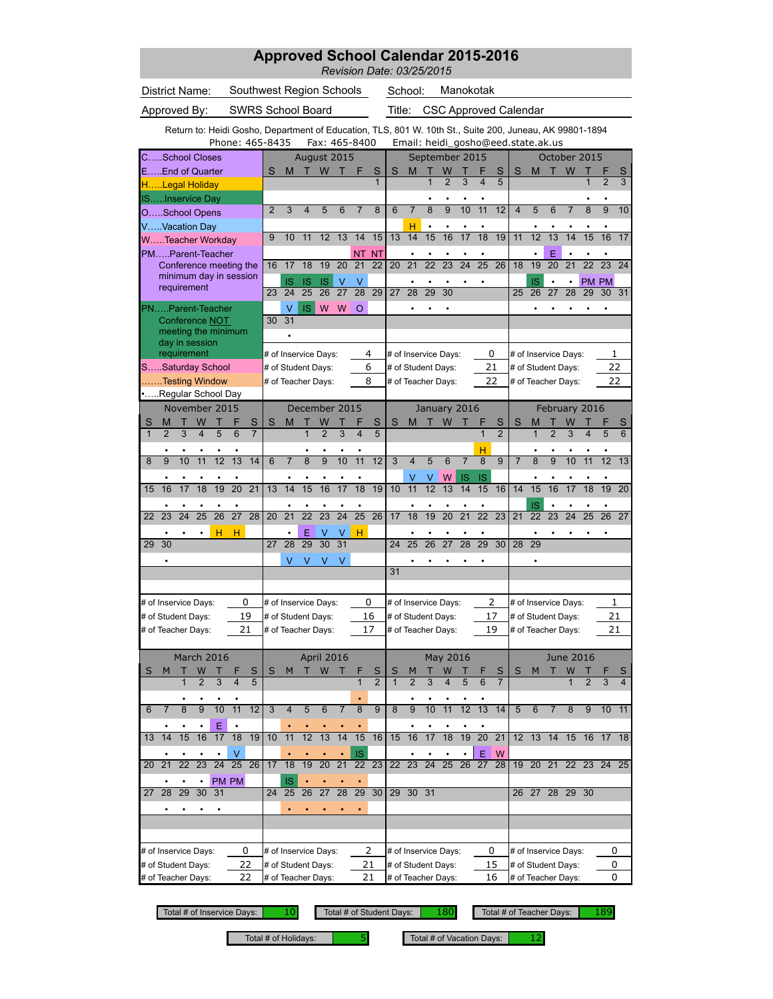|                                                                   |                                    | <b>Approved School Calendar 2015-2016</b><br>Revision Date: 03/25/2015 |                                    |                      |                 |                     |                                                                                                                                               |                                            |                 |                              |                 |                         |                     |                         |                              |                 |                                            |                |                 |                     |
|-------------------------------------------------------------------|------------------------------------|------------------------------------------------------------------------|------------------------------------|----------------------|-----------------|---------------------|-----------------------------------------------------------------------------------------------------------------------------------------------|--------------------------------------------|-----------------|------------------------------|-----------------|-------------------------|---------------------|-------------------------|------------------------------|-----------------|--------------------------------------------|----------------|-----------------|---------------------|
| District Name:<br>Southwest Region Schools                        |                                    |                                                                        |                                    |                      |                 |                     |                                                                                                                                               | School:                                    |                 |                              |                 | Manokotak               |                     |                         |                              |                 |                                            |                |                 |                     |
| Approved By:                                                      |                                    | <b>SWRS School Board</b>                                               |                                    |                      |                 |                     | Title:                                                                                                                                        |                                            |                 |                              |                 |                         |                     |                         | <b>CSC Approved Calendar</b> |                 |                                            |                |                 |                     |
|                                                                   |                                    |                                                                        |                                    |                      |                 |                     | Return to: Heidi Gosho, Department of Education, TLS, 801 W. 10th St., Suite 200, Juneau, AK 99801-1894<br>Email: heidi_gosho@eed.state.ak.us |                                            |                 |                              |                 |                         |                     |                         |                              |                 |                                            |                |                 |                     |
| CSchool Closes                                                    | Phone: 465-8435                    |                                                                        | August 2015                        | Fax: 465-8400        |                 |                     |                                                                                                                                               |                                            | September 2015  |                              |                 |                         |                     |                         |                              |                 | October 2015                               |                |                 |                     |
| EEnd of Quarter                                                   |                                    | S<br>M                                                                 | W<br>т                             | т                    | F               | S                   | S                                                                                                                                             | M                                          |                 | W                            |                 |                         | S                   | S                       | M                            |                 | W                                          |                |                 | S                   |
| HLegal Holiday                                                    |                                    |                                                                        |                                    |                      |                 | $\mathbf{1}$        |                                                                                                                                               |                                            | $\overline{1}$  | $\overline{2}$               | 3               | $\overline{\mathbf{4}}$ | 5                   |                         |                              |                 |                                            | 1              | $\overline{2}$  | 3                   |
| ISInservice Day                                                   |                                    |                                                                        |                                    |                      |                 |                     |                                                                                                                                               |                                            |                 |                              |                 |                         |                     |                         |                              |                 |                                            |                |                 |                     |
| OSchool Opens                                                     |                                    | $\overline{2}$<br>3                                                    | 5<br>4                             | 6                    | 7               | 8                   | 6                                                                                                                                             | $\overline{7}$                             | 8<br>$\bullet$  | 9                            | 10              | 11                      | 12                  | $\overline{\mathbf{4}}$ | 5                            | 6               | $\overline{7}$                             | 8              | 9               | 10                  |
| VVacation Day<br>WTeacher Workday                                 |                                    | 9<br>10                                                                | 12<br>11                           | 13                   | 14              | 15                  | 13                                                                                                                                            | н<br>14                                    | 15              | 16                           | 17              | 18                      | 19                  | 11                      | 12                           | 13              | 14                                         | 15             | 16              | 17                  |
| PMParent-Teacher                                                  |                                    |                                                                        |                                    |                      | <b>NT</b>       | <b>NT</b>           |                                                                                                                                               |                                            |                 |                              |                 |                         |                     |                         |                              | E               |                                            |                |                 |                     |
| Conference meeting the                                            |                                    | 17<br>16                                                               | 18<br>19                           | 20                   | 21              | 22                  | 20                                                                                                                                            | 21                                         | $\overline{22}$ | $\overline{23}$              | $\overline{24}$ | $\overline{25}$         | 26                  | 18                      | 19                           | 20              | 21                                         | 22             | 23              | 24                  |
| minimum day in session<br>requirement                             |                                    | IS<br>24<br>23                                                         | <b>IS</b><br><b>IS</b><br>25<br>26 | $\vee$<br>27         | V<br>28         | 29                  | 27                                                                                                                                            | 28                                         | 29              | 30                           |                 |                         |                     | 25                      | <b>IS</b><br>26              | $\bullet$<br>27 | ۰<br>28                                    | PM PM<br>29    | 30              | 31                  |
| PNParent-Teacher                                                  |                                    | V                                                                      | <b>IS</b><br>W                     | W                    | $\circ$         |                     |                                                                                                                                               |                                            |                 |                              |                 |                         |                     |                         |                              |                 |                                            |                |                 |                     |
| Conference NOT                                                    |                                    | 31<br>30                                                               |                                    |                      |                 |                     |                                                                                                                                               |                                            |                 |                              |                 |                         |                     |                         |                              |                 |                                            |                |                 |                     |
| meeting the minimum<br>day in session                             |                                    |                                                                        |                                    |                      |                 |                     |                                                                                                                                               |                                            |                 |                              |                 |                         |                     |                         |                              |                 |                                            |                |                 |                     |
| requirement                                                       |                                    | # of Inservice Days:                                                   |                                    |                      |                 | 4                   |                                                                                                                                               | # of Inservice Days:                       |                 |                              |                 | 0                       |                     |                         |                              |                 | # of Inservice Days:                       |                | 1               |                     |
| SSaturday School                                                  |                                    | # of Student Days:                                                     |                                    |                      |                 | 6                   |                                                                                                                                               | # of Student Days:                         |                 |                              |                 | 21                      |                     |                         | # of Student Days:           |                 |                                            |                | 22              |                     |
| Testing Window                                                    |                                    | # of Teacher Days:                                                     |                                    |                      |                 | 8                   | # of Teacher Days:                                                                                                                            |                                            |                 |                              |                 | 22                      |                     |                         |                              |                 | # of Teacher Days:                         |                | 22              |                     |
| Regular School Day<br>November 2015                               |                                    |                                                                        | December 2015                      |                      |                 |                     |                                                                                                                                               |                                            | January 2016    |                              |                 |                         |                     |                         |                              |                 | February 2016                              |                |                 |                     |
| S<br>W<br>Т<br>М<br>т                                             | S                                  | S<br>M                                                                 | W<br>Т                             |                      |                 | $\mathbf{s}$        | S                                                                                                                                             | M                                          | т               | W                            |                 | F                       | S                   | S                       | M                            |                 | W                                          |                |                 | S                   |
| $\overline{1}$<br>5<br>$\overline{2}$<br>3                        | 6                                  |                                                                        | $\overline{2}$<br>$\overline{1}$   | $\overline{3}$       | 4               | $\overline{5}$      |                                                                                                                                               |                                            |                 |                              |                 | 1                       | $\overline{2}$      |                         | $\overline{1}$               | $\overline{2}$  | $\overline{\mathbf{3}}$                    | 4              | 5               | 6                   |
| 11<br>12<br>8<br>9<br>10                                          | 13<br>14                           | $\overline{7}$<br>6                                                    | $\overline{8}$<br>9                | 10                   | 11              | 12                  | 3                                                                                                                                             | 4                                          | 5               | 6                            | $\overline{7}$  | н<br>8                  | $\overline{9}$      | $\overline{7}$          | 8                            | 9               | 10                                         | 11             | 12              | 13                  |
|                                                                   |                                    |                                                                        |                                    |                      |                 |                     |                                                                                                                                               |                                            | ٧               | W                            | IS              | IS                      |                     |                         |                              |                 |                                            |                |                 |                     |
| $\overline{17}$<br>$\overline{18}$<br>16<br>19<br>15              | $\overline{20}$<br>$\overline{21}$ | $\overline{14}$<br>13                                                  | $\overline{15}$<br>$\overline{16}$ | $\overline{17}$      | $\overline{18}$ | $\overline{19}$     | $\overline{10}$                                                                                                                               | $\overline{11}$                            | $\overline{12}$ | $\overline{13}$              | 14              | 15                      | 16                  | 14                      | $\overline{15}$              | 16              | $\overline{17}$                            | 18             | 19              | 20                  |
|                                                                   |                                    |                                                                        |                                    |                      |                 |                     |                                                                                                                                               |                                            |                 |                              |                 |                         |                     |                         | IS                           |                 |                                            |                |                 |                     |
| $\overline{24}$<br>$\overline{25}$<br>$\overline{26}$<br>23<br>22 | $\overline{27}$<br>28              | $\overline{21}$<br>20                                                  | $\overline{22}$<br>$\overline{23}$ | $\overline{24}$      | $\overline{25}$ | 26                  | 17                                                                                                                                            | $\overline{18}$                            | 19              | $\overline{20}$              | $\overline{21}$ | $\overline{22}$         | $\overline{23}$     | $\overline{21}$         | $\overline{22}$              | 23              | 24                                         | 25             | 26              | 27                  |
| н<br>29<br>30                                                     | н                                  | 27<br>28                                                               | Е<br>v<br>$\overline{30}$<br>29    | V<br>$\overline{31}$ | н               |                     | 24                                                                                                                                            | 25                                         | 26              | 27                           | 28              | 29                      | 30                  | 28                      | 29                           |                 |                                            |                |                 |                     |
|                                                                   |                                    | V                                                                      | V<br>V                             | $\vee$               |                 |                     |                                                                                                                                               |                                            |                 |                              |                 |                         |                     |                         | ٠                            |                 |                                            |                |                 |                     |
|                                                                   |                                    |                                                                        |                                    |                      |                 |                     | 31                                                                                                                                            |                                            |                 |                              |                 |                         |                     |                         |                              |                 |                                            |                |                 |                     |
|                                                                   |                                    |                                                                        |                                    |                      |                 |                     |                                                                                                                                               |                                            |                 |                              |                 |                         |                     |                         |                              |                 |                                            |                |                 |                     |
| # of Inservice Days:                                              | 0                                  | # of Inservice Days:                                                   |                                    |                      |                 | 0                   | # of Inservice Days:                                                                                                                          |                                            |                 |                              |                 | 2                       |                     |                         |                              |                 | # of Inservice Days:                       |                | 1               |                     |
| # of Student Days:<br># of Teacher Days:                          | 19<br>21                           | # of Student Days:<br># of Teacher Days:                               |                                    |                      |                 | 16<br>17            | # of Student Days:<br># of Teacher Days:                                                                                                      |                                            |                 |                              |                 | 19                      | 17                  |                         |                              |                 | # of Student Days:<br># of Teacher Days:   |                | 21<br>21        |                     |
|                                                                   |                                    |                                                                        |                                    |                      |                 |                     |                                                                                                                                               |                                            |                 |                              |                 |                         |                     |                         |                              |                 |                                            |                |                 |                     |
| March 2016                                                        |                                    |                                                                        | April 2016                         |                      |                 |                     |                                                                                                                                               |                                            |                 | May 2016                     |                 |                         |                     |                         |                              |                 | <b>June 2016</b>                           |                |                 |                     |
| W<br>S<br>M<br>$\overline{2}$<br>3<br>$\mathbf{1}$                | S<br>$\overline{\mathbf{4}}$<br>5  | S<br>M                                                                 | W<br>т                             | т                    | $\overline{1}$  | S<br>$\overline{2}$ | S<br>$\overline{1}$                                                                                                                           | $\overline{2}$                             | 3               | W<br>$\overline{\mathbf{4}}$ | 5               | 6                       | S<br>$\overline{7}$ | S                       | M                            |                 | W<br>$\mathbf{1}$                          | $\overline{2}$ | 3               | S<br>$\overline{4}$ |
|                                                                   |                                    |                                                                        |                                    |                      |                 |                     |                                                                                                                                               |                                            |                 |                              |                 |                         |                     |                         |                              |                 |                                            |                |                 |                     |
| 10<br>8<br>9<br>$\overline{7}$<br>6                               | 11<br>12                           | 3<br>4                                                                 | 5<br>6                             | $\overline{7}$       | 8               | 9                   | 8                                                                                                                                             | 9                                          | 10              | $\overline{11}$              | 12              | 13                      | 14                  | 5                       | 6                            | $\overline{7}$  | 8                                          | 9              | 10 <sup>°</sup> | 11                  |
| Ε                                                                 |                                    |                                                                        |                                    |                      |                 |                     |                                                                                                                                               |                                            |                 |                              |                 |                         |                     |                         |                              |                 |                                            |                |                 |                     |
| 15<br>16<br>17<br>14<br>13                                        | 18<br>19                           | 11<br>10                                                               | 12<br>13                           | 14                   | 15              | 16                  | 15                                                                                                                                            | 16                                         | 17              | 18                           | 19              | 20                      | 21                  |                         | $12 \t13$                    | 14              | 15                                         | 16             | 17 18           |                     |
| 22<br>23<br>24<br>21<br>20                                        | ٧<br>25<br>26                      | 17<br>18                                                               | 20<br>19                           | 21                   | IS<br>22        | 23                  | 22                                                                                                                                            | 23                                         | 24              | 25                           | 26              | E<br>27                 | W<br>28             |                         | 19 20 21                     |                 |                                            |                | 22 23 24 25     |                     |
|                                                                   | PM PM                              | IS                                                                     |                                    |                      |                 |                     |                                                                                                                                               |                                            |                 |                              |                 |                         |                     |                         |                              |                 |                                            |                |                 |                     |
| 31<br>28<br>29<br>30<br>27                                        |                                    | 24<br>25                                                               | 26<br>27                           | 28                   | 29              | 30                  | 29                                                                                                                                            | 30 <sup>°</sup>                            | 31              |                              |                 |                         |                     |                         | 26 27                        |                 | 28 29                                      | 30             |                 |                     |
| $\bullet$<br>٠                                                    |                                    |                                                                        |                                    |                      |                 |                     |                                                                                                                                               |                                            |                 |                              |                 |                         |                     |                         |                              |                 |                                            |                |                 |                     |
|                                                                   |                                    |                                                                        |                                    |                      |                 |                     |                                                                                                                                               |                                            |                 |                              |                 |                         |                     |                         |                              |                 |                                            |                |                 |                     |
|                                                                   |                                    |                                                                        |                                    |                      |                 |                     |                                                                                                                                               |                                            |                 |                              |                 |                         |                     |                         |                              |                 |                                            |                |                 |                     |
| # of Inservice Days:<br># of Student Days:                        | 0<br>22                            | # of Inservice Days:<br># of Student Days:                             |                                    |                      |                 | 2<br>21             |                                                                                                                                               | # of Inservice Days:<br># of Student Days: |                 |                              |                 | 0<br>15                 |                     |                         |                              |                 | # of Inservice Days:<br># of Student Days: |                | 0<br>0          |                     |
| # of Teacher Days:                                                | 22                                 | # of Teacher Days:                                                     |                                    |                      |                 | 21                  |                                                                                                                                               | # of Teacher Days:                         |                 |                              |                 | 16                      |                     |                         |                              |                 | # of Teacher Days:                         |                | 0               |                     |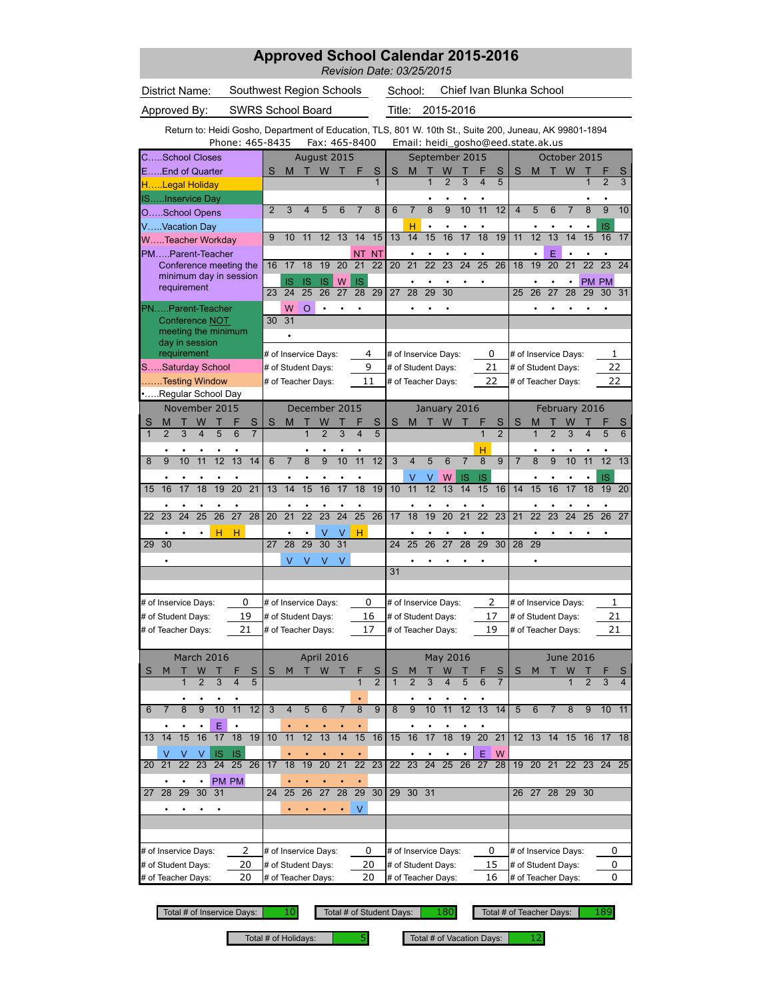|                                                                                                         | <b>Approved School Calendar 2015-2016</b><br>Revision Date: 03/25/2015 |                                            |                                    |                                    |                 |                |                          |                                            |                 |                                    |                |                 |                                          |                      |                 |                |                |
|---------------------------------------------------------------------------------------------------------|------------------------------------------------------------------------|--------------------------------------------|------------------------------------|------------------------------------|-----------------|----------------|--------------------------|--------------------------------------------|-----------------|------------------------------------|----------------|-----------------|------------------------------------------|----------------------|-----------------|----------------|----------------|
| <b>District Name:</b>                                                                                   | Southwest Region Schools                                               |                                            | School:                            |                                    |                 |                | Chief Ivan Blunka School |                                            |                 |                                    |                |                 |                                          |                      |                 |                |                |
| Approved By:                                                                                            |                                                                        | <b>SWRS School Board</b>                   |                                    |                                    |                 | Title:         |                          |                                            | 2015-2016       |                                    |                |                 |                                          |                      |                 |                |                |
| Return to: Heidi Gosho, Department of Education, TLS, 801 W. 10th St., Suite 200, Juneau, AK 99801-1894 |                                                                        |                                            |                                    |                                    |                 |                |                          |                                            |                 |                                    |                |                 |                                          |                      |                 |                |                |
| <b>CSchool Closes</b>                                                                                   | Phone: 465-8435                                                        |                                            | Fax: 465-8400<br>August 2015       |                                    |                 |                |                          |                                            | September 2015  | Email: heidi_gosho@eed.state.ak.us |                |                 |                                          | October 2015         |                 |                |                |
| EEnd of Quarter                                                                                         |                                                                        | S<br>M                                     | W<br>т                             | F                                  | S               | S              | M                        | W                                          |                 | S                                  | S              | M               | т                                        | W                    |                 |                | S              |
| HLegal Holiday                                                                                          |                                                                        |                                            |                                    |                                    | $\mathbf{1}$    |                |                          | $\overline{2}$<br>$\overline{1}$           | 3               | 5                                  |                |                 |                                          |                      | 1               | $\overline{2}$ | 3              |
| <b>ISInservice Day</b>                                                                                  |                                                                        |                                            |                                    |                                    |                 |                |                          |                                            |                 |                                    |                |                 |                                          |                      |                 |                |                |
| OSchool Opens                                                                                           |                                                                        | $\overline{2}$<br>3                        | 4<br>5                             | 6<br>7                             | 8               | 6              | $\overline{7}$           | $\overline{9}$<br>8                        | 10              | 11<br>12                           | 4              | 5               | 6                                        | $\overline{7}$       | 8               | $\overline{9}$ | 10             |
| VVacation Day                                                                                           |                                                                        | 9<br>10                                    | 11<br>12                           | 13<br>14                           | 15              | 13             | н<br>14                  | 15<br>16                                   | 17              | 19<br>18                           | 11             | 12              | 13                                       | 14                   | 15              | IS<br>16       | 17             |
| WTeacher Workday                                                                                        |                                                                        |                                            |                                    |                                    |                 |                |                          |                                            |                 |                                    |                |                 | E                                        |                      |                 |                |                |
| PMParent-Teacher<br>Conference meeting the                                                              |                                                                        | 17<br>16                                   | 18<br>19                           | ΝT<br>20<br>21                     | <b>NT</b><br>22 | 20             | 21                       | 22<br>23                                   | 24              | 25<br>26                           | 18             | 19              | 20                                       | 21                   | $\overline{22}$ | 23             | 24             |
| minimum day in session                                                                                  |                                                                        | IS                                         | <b>IS</b><br>IS                    | W<br><b>IS</b>                     |                 |                |                          |                                            |                 |                                    |                |                 |                                          | $\bullet$            | <b>PM PM</b>    |                |                |
| requirement                                                                                             |                                                                        | 23<br>24                                   | $\overline{25}$<br>26              | $\overline{27}$<br>$\overline{28}$ | 29              | 27             | 28                       | 29<br>$\overline{30}$                      |                 |                                    | 25             | 26              | 27                                       | 28                   | 29              | 30             | 31             |
| PNParent-Teacher                                                                                        |                                                                        | W                                          | $\Omega$                           |                                    |                 |                |                          |                                            |                 |                                    |                |                 |                                          |                      |                 |                |                |
| Conference NOT<br>meeting the minimum                                                                   |                                                                        | 31<br>30                                   |                                    |                                    |                 |                |                          |                                            |                 |                                    |                |                 |                                          |                      |                 |                |                |
| day in session                                                                                          |                                                                        | $\bullet$                                  |                                    |                                    |                 |                |                          |                                            |                 |                                    |                |                 |                                          |                      |                 |                |                |
| requirement                                                                                             |                                                                        |                                            | # of Inservice Days:               |                                    | 4               |                |                          | # of Inservice Days:                       |                 | 0                                  |                |                 |                                          | # of Inservice Days: |                 | 1              |                |
| SSaturday School                                                                                        |                                                                        | # of Student Days:                         |                                    |                                    | 9               |                |                          | # of Student Days:                         |                 | 21                                 |                |                 | # of Student Days:                       |                      |                 | 22             |                |
| Testing Window<br>Regular School Day                                                                    |                                                                        | # of Teacher Days:                         |                                    |                                    | 11              |                |                          | # of Teacher Days:                         |                 | 22                                 |                |                 | # of Teacher Days:                       |                      |                 | 22             |                |
| November 2015                                                                                           |                                                                        |                                            | December 2015                      |                                    |                 |                |                          |                                            | January 2016    |                                    |                |                 |                                          | February 2016        |                 |                |                |
| S<br>W<br>м                                                                                             | S                                                                      | S<br>M                                     | W                                  |                                    | S               | S              | M                        | т<br>W                                     |                 | F<br>S                             | S              | М               |                                          | W                    |                 |                | S              |
| $\mathbf{1}$<br>$\overline{2}$<br>3                                                                     | 5<br>6<br>$\overline{7}$                                               |                                            | $\overline{2}$                     | 3<br>4                             | 5               |                |                          |                                            |                 | $\overline{2}$                     |                |                 | $\overline{\mathcal{L}}$                 | 3                    | 4               | 5              | 6              |
|                                                                                                         |                                                                        |                                            |                                    |                                    |                 |                |                          |                                            |                 | н                                  |                |                 |                                          |                      |                 |                |                |
| 10<br>11<br>8<br>9                                                                                      | 13<br>12<br>14                                                         | $\overline{6}$<br>$\overline{7}$           | $\overline{8}$<br>$\overline{9}$   | 10<br>11                           | 12              | $\overline{3}$ | $\overline{4}$           | $\overline{5}$<br>$\overline{6}$           | $\overline{7}$  | $\overline{8}$<br>$\overline{9}$   | $\overline{7}$ | $\overline{8}$  | $\overline{9}$                           | 10                   | 11              | 12             | 13             |
| 16<br>17<br>18<br>15                                                                                    | 19<br>20<br>21                                                         | 14<br>13                                   | $\overline{15}$<br>16              | 17<br>18                           | 19              | 10             | $\vee$<br>11             | W<br>V<br>12<br>13                         | <b>IS</b><br>14 | IS<br>15<br>16                     | 14             | 15              | 16                                       | 17                   | 18              | IS<br>19       | 20             |
|                                                                                                         |                                                                        |                                            |                                    |                                    |                 |                |                          |                                            |                 |                                    |                |                 |                                          |                      |                 |                |                |
| $\overline{24}$<br>$\overline{25}$<br>23<br>22                                                          | $\overline{26}$<br>$\overline{27}$<br>28                               | 21<br>20                                   | $\overline{22}$<br>23              | 24<br>$\overline{25}$              | 26              | 17             | $\overline{18}$          | 19<br>$\overline{20}$                      | $\overline{21}$ | $\overline{22}$<br>$\overline{23}$ | 21             | $\overline{22}$ | 23                                       | $\overline{24}$      | 25              | 26             | 27             |
|                                                                                                         | н<br>н                                                                 |                                            | v                                  | н<br>v                             |                 |                |                          |                                            |                 |                                    |                |                 |                                          |                      |                 |                |                |
| 30<br>29                                                                                                |                                                                        | 28<br>27                                   | 29<br>30                           | $\overline{31}$                    |                 | 24             | 25                       | 26<br>27                                   | 28              | 29<br>30                           | 28             | 29              |                                          |                      |                 |                |                |
|                                                                                                         |                                                                        | V                                          | V<br>V                             | V                                  |                 |                |                          |                                            |                 |                                    |                |                 |                                          |                      |                 |                |                |
|                                                                                                         |                                                                        |                                            |                                    |                                    |                 | 31             |                          |                                            |                 |                                    |                |                 |                                          |                      |                 |                |                |
|                                                                                                         |                                                                        |                                            |                                    |                                    |                 |                |                          |                                            |                 |                                    |                |                 |                                          |                      |                 |                |                |
| # of Inservice Days:                                                                                    | 0                                                                      | # of Inservice Days:                       |                                    |                                    | 0               |                |                          | # of Inservice Days:                       |                 | 2                                  |                |                 |                                          | # of Inservice Days: |                 | 1              |                |
| # of Student Days:<br># of Teacher Days:                                                                | 19<br>21                                                               | # of Student Days:<br># of Teacher Days:   |                                    |                                    | 16<br>17        |                |                          | # of Student Days:<br># of Teacher Days:   |                 | 17<br>19                           |                |                 | # of Student Days:<br># of Teacher Days: |                      |                 | 21<br>21       |                |
|                                                                                                         |                                                                        |                                            |                                    |                                    |                 |                |                          |                                            |                 |                                    |                |                 |                                          |                      |                 |                |                |
| March 2016                                                                                              |                                                                        |                                            | April 2016                         |                                    |                 |                |                          |                                            | May 2016        |                                    |                |                 |                                          | <b>June 2016</b>     |                 |                |                |
| W<br>S<br>M<br>Τ                                                                                        | Т<br>S                                                                 | S<br>M                                     | W<br>Т                             | Т<br>H                             | $rac{S}{2}$     | S              |                          | Т<br>W                                     |                 | S<br>۲                             | S              | M               | т                                        | W                    |                 |                | S              |
| $\overline{2}$                                                                                          | 3<br>5<br>4                                                            |                                            |                                    | 1                                  |                 |                | $\overline{2}$           | 3<br>4                                     | 5               | $\overline{7}$<br>6                |                |                 |                                          |                      | $\overline{2}$  | 3              | $\overline{4}$ |
| $\overline{9}$                                                                                          |                                                                        |                                            |                                    |                                    |                 |                |                          |                                            |                 |                                    |                |                 |                                          |                      |                 |                |                |
| $\overline{8}$<br>6                                                                                     | $\overline{11}$<br>10<br>12                                            | 3<br>$\overline{4}$                        | 5<br>6                             | $\overline{7}$<br>$\overline{8}$   | $\overline{9}$  | $\overline{8}$ | $\overline{9}$           | $\overline{10}$<br>$\overline{11}$         | $\overline{12}$ | 13<br>14                           | 5              | 6               | $\overline{7}$                           | 8                    | 9               | $10$ 11        |                |
| 14<br>15<br>16<br>13                                                                                    | Ε<br>$\bullet$<br>17<br>$\overline{18}$<br>19                          | 11<br>10                                   | 12<br>13                           | 14<br>15                           | 16              | 15             | 16                       | 17<br>18                                   | 19              | 20<br>$\overline{21}$              |                |                 |                                          | 12 13 14 15 16 17 18 |                 |                |                |
| V<br>V<br>V                                                                                             | <b>IS</b><br>-IS                                                       |                                            |                                    |                                    |                 |                |                          |                                            |                 | W<br>Ε                             |                |                 |                                          |                      |                 |                |                |
| 21<br>$\overline{22}$<br>23<br>20                                                                       | 25<br>24<br>26                                                         | 18<br>17                                   | $\overline{19}$<br>$\overline{20}$ | 21<br>22                           | 23              | 22             | 23                       | 24<br>25                                   | 26              | 27<br>28                           | 19             | 20              | 21                                       | 22                   | 23              | 24 25          |                |
|                                                                                                         | PM PM                                                                  |                                            |                                    |                                    |                 |                |                          |                                            |                 |                                    |                |                 |                                          |                      |                 |                |                |
| 28<br>29<br>30<br>27                                                                                    | 31                                                                     | 25<br>24                                   | 26<br>27                           | 29<br>28                           | 30              | 29             | 30 31                    |                                            |                 |                                    |                |                 |                                          | 26 27 28 29 30       |                 |                |                |
|                                                                                                         |                                                                        |                                            |                                    | V                                  |                 |                |                          |                                            |                 |                                    |                |                 |                                          |                      |                 |                |                |
|                                                                                                         |                                                                        |                                            |                                    |                                    |                 |                |                          |                                            |                 |                                    |                |                 |                                          |                      |                 |                |                |
|                                                                                                         |                                                                        |                                            |                                    |                                    |                 |                |                          |                                            |                 |                                    |                |                 |                                          |                      |                 |                |                |
| # of Inservice Days:<br># of Student Days:                                                              | 2<br>20                                                                | # of Inservice Days:<br># of Student Days: |                                    |                                    | 0<br>20         |                |                          | # of Inservice Days:<br># of Student Days: |                 | 0<br>15                            |                |                 | # of Student Days:                       | # of Inservice Days: |                 | 0<br>0         |                |
| # of Teacher Days:                                                                                      | 20                                                                     | # of Teacher Days:                         |                                    |                                    | 20              |                |                          | # of Teacher Days:                         |                 | 16                                 |                |                 | # of Teacher Days:                       |                      |                 | 0              |                |

Total # of Holidays:  $\begin{vmatrix} 5 \\ 5 \end{vmatrix}$  Total # of Vacation Days:  $\begin{vmatrix} 12 \\ 12 \end{vmatrix}$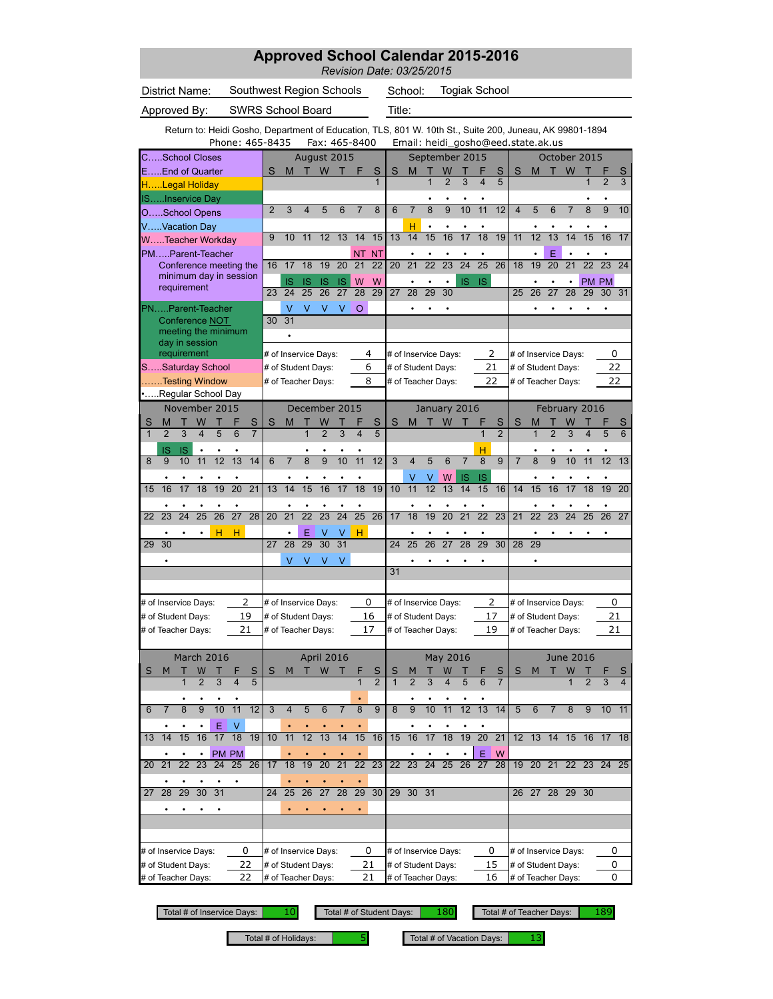## **Approved School Calendar 2015-2016**

*Revision Date: 03/25/2015*

District Name: Southwest Region Schools School:

Togiak School

Approved By: SWRS School Board Title:

Phone: 465-8435 Fax: 465-8400 Email: heidi\_gosho@eed.state.ak.us Return to: Heidi Gosho, Department of Education, TLS, 801 W. 10th St., Suite 200, Juneau, AK 99801-1894

| CSchool Closes                                                                                        | August 2015                                                                    |                                    |                                                   | September 2015                                                          | October 2015                                                          |                                    |  |  |  |
|-------------------------------------------------------------------------------------------------------|--------------------------------------------------------------------------------|------------------------------------|---------------------------------------------------|-------------------------------------------------------------------------|-----------------------------------------------------------------------|------------------------------------|--|--|--|
| EEnd of Quarter                                                                                       | S<br>M T W<br>т                                                                | S<br>F<br>$\overline{1}$           | S<br>M<br>т<br>1                                  | W<br>S<br>$\overline{c}$<br>3<br>4<br>5                                 | <b>W</b><br>S<br>т<br>M                                               | S<br>3<br>$\overline{2}$           |  |  |  |
| HLegal Holiday                                                                                        |                                                                                |                                    |                                                   |                                                                         |                                                                       |                                    |  |  |  |
| ISInservice Day                                                                                       | 3<br>6<br>$\overline{2}$<br>4<br>5                                             | 8<br>7                             | $\overline{8}$<br>6<br>$\overline{7}$             | $\overline{10}$<br>$\overline{11}$<br>$\overline{12}$<br>$\overline{9}$ | $\overline{8}$<br>$\overline{\mathbf{4}}$<br>5<br>6<br>$\overline{7}$ | $\overline{9}$<br>10               |  |  |  |
| OSchool Opens                                                                                         |                                                                                |                                    |                                                   |                                                                         |                                                                       |                                    |  |  |  |
| VVacation Day                                                                                         |                                                                                |                                    | н<br>$\bullet$                                    | ٠                                                                       |                                                                       |                                    |  |  |  |
| WTeacher Workday                                                                                      | 12<br>13<br>10<br>11<br>9                                                      | 14<br>15                           | 13<br>14<br>15                                    | 16<br>17<br>18<br>19                                                    | $\overline{13}$<br>11<br>12<br>15<br>14                               | 16<br>17                           |  |  |  |
| PMParent-Teacher                                                                                      |                                                                                | NT NT                              | $\bullet$                                         | $\bullet$<br>۰                                                          | E<br>$\bullet$                                                        | ٠                                  |  |  |  |
| Conference meeting the                                                                                | 17<br>18<br>19<br>20<br>16                                                     | 21<br>22                           | 21<br>20<br>22                                    | 24<br>25<br>23<br>26                                                    | 20<br>22<br>19<br>21<br>18                                            | 23<br>24                           |  |  |  |
| minimum day in session<br>requirement                                                                 | <b>IS</b><br>IS<br>IS<br>IS                                                    | W<br>W                             |                                                   | <b>IS</b><br>IS                                                         |                                                                       | PM PM                              |  |  |  |
|                                                                                                       | 23<br>25<br>26<br>27<br>24                                                     | $\overline{28}$<br>29              | 29<br>27<br>28                                    | 30                                                                      | $\overline{28}$<br>25<br>26<br>27<br>29                               | 30 <sup>7</sup><br>31              |  |  |  |
| PNParent-Teacher                                                                                      | V<br>V<br>V<br>V                                                               | O                                  |                                                   |                                                                         |                                                                       |                                    |  |  |  |
| Conference NOT                                                                                        | 31<br>30                                                                       |                                    |                                                   |                                                                         |                                                                       |                                    |  |  |  |
| meeting the minimum                                                                                   |                                                                                |                                    |                                                   |                                                                         |                                                                       |                                    |  |  |  |
| day in session<br>requirement                                                                         | # of Inservice Days:                                                           | 4                                  | # of Inservice Days:                              | 2                                                                       | # of Inservice Days:                                                  | 0                                  |  |  |  |
| SSaturday School                                                                                      | # of Student Days:                                                             | 6                                  | # of Student Days:                                | 21                                                                      | # of Student Days:                                                    | 22                                 |  |  |  |
| Testing Window                                                                                        | # of Teacher Days:                                                             | 8                                  | # of Teacher Days:                                | 22                                                                      | # of Teacher Days:                                                    | 22                                 |  |  |  |
| •Regular School Day                                                                                   |                                                                                |                                    |                                                   |                                                                         |                                                                       |                                    |  |  |  |
| November 2015                                                                                         | December 2015                                                                  |                                    |                                                   | January 2016                                                            | February 2016                                                         |                                    |  |  |  |
|                                                                                                       |                                                                                |                                    |                                                   |                                                                         |                                                                       |                                    |  |  |  |
| S<br>S<br>М<br>W<br>$\overline{3}$<br>$\overline{2}$<br>4<br>5<br>6<br>$\mathbf{1}$<br>$\overline{7}$ | S<br>M<br>W<br>$\overline{2}$<br>3<br>1                                        | S<br>4<br>5                        | S<br>M<br>П                                       | W<br>S<br>F<br>$\mathbf{1}$<br>$\overline{2}$                           | S<br>W<br>M<br>$\overline{2}$<br>3<br>1<br>4                          | S<br>6<br>5                        |  |  |  |
|                                                                                                       |                                                                                |                                    |                                                   |                                                                         |                                                                       |                                    |  |  |  |
| IS<br>IS<br>13<br>10<br>11<br>12<br>14<br>8<br>9                                                      | $\overline{8}$<br>$\overline{9}$<br>10<br>$\overline{7}$<br>6                  | 11<br>12                           | 3<br>5<br>$\overline{4}$                          | н<br>$\overline{9}$<br>6<br>$\overline{7}$<br>8                         | $\overline{8}$<br>$\overline{9}$<br>$\overline{7}$<br>10<br>11        | 12<br>13                           |  |  |  |
|                                                                                                       |                                                                                |                                    |                                                   |                                                                         |                                                                       |                                    |  |  |  |
|                                                                                                       |                                                                                |                                    | ٧<br>٧                                            | IS<br>W<br>IS                                                           |                                                                       |                                    |  |  |  |
| 17<br>18<br>19<br>20<br>21<br>16<br>15                                                                | 14<br>15<br>16<br>17<br>13                                                     | 18<br>19                           | 11<br>12<br>10                                    | 13<br>14<br>15<br>16                                                    | 15<br>16<br>14<br>17<br>18                                            | 20<br>19                           |  |  |  |
|                                                                                                       |                                                                                |                                    |                                                   | ٠                                                                       |                                                                       |                                    |  |  |  |
| $\overline{27}$<br>$\overline{24}$<br>$\overline{25}$<br>26<br>28<br>22<br>23                         | $\overline{22}$<br>$\overline{23}$<br>$\overline{24}$<br>20<br>21              | $\overline{25}$<br>$\overline{26}$ | 18<br>19<br>17                                    | $\overline{21}$<br>$\overline{22}$<br>$\overline{23}$<br>20             | $\overline{23}$<br>$\overline{24}$<br>$\overline{25}$<br>21<br>22     | $\overline{26}$<br>$\overline{27}$ |  |  |  |
| н<br>н                                                                                                | Ε<br>v<br>V                                                                    | н                                  |                                                   |                                                                         |                                                                       |                                    |  |  |  |
| 30<br>29                                                                                              | $\overline{31}$<br>28<br>29<br>30<br>27                                        |                                    | 26<br>25<br>24                                    | $\overline{29}$<br>27<br>28<br>30                                       | 28<br>29                                                              |                                    |  |  |  |
|                                                                                                       | V<br>V<br>V<br>V                                                               |                                    |                                                   |                                                                         |                                                                       |                                    |  |  |  |
|                                                                                                       |                                                                                |                                    | 31                                                |                                                                         |                                                                       |                                    |  |  |  |
|                                                                                                       |                                                                                |                                    |                                                   |                                                                         |                                                                       |                                    |  |  |  |
| 2<br># of Inservice Days:                                                                             | # of Inservice Days:                                                           | 0                                  | # of Inservice Days:                              | 2                                                                       | # of Inservice Days:                                                  | 0                                  |  |  |  |
| 19<br># of Student Days:                                                                              | # of Student Days:                                                             | 16                                 | # of Student Days:                                | 17                                                                      | # of Student Days:                                                    | 21                                 |  |  |  |
| 21<br># of Teacher Days:                                                                              | # of Teacher Days:                                                             | 17                                 | # of Teacher Days:                                | 19                                                                      | # of Teacher Days:                                                    | 21                                 |  |  |  |
|                                                                                                       |                                                                                |                                    |                                                   |                                                                         |                                                                       |                                    |  |  |  |
| March 2016                                                                                            | <b>April 2016</b>                                                              |                                    |                                                   | May 2016                                                                | <b>June 2016</b>                                                      |                                    |  |  |  |
| W<br>S<br>S<br>M                                                                                      | W<br>S<br>M<br>т                                                               | S                                  | S<br>М                                            | W<br>S                                                                  | M<br>W<br>S<br>т                                                      | 5                                  |  |  |  |
| 4<br>5<br>3                                                                                           |                                                                                | $\overline{2}$                     | $\overline{2}$<br>3                               |                                                                         |                                                                       | 3<br>4                             |  |  |  |
|                                                                                                       |                                                                                |                                    |                                                   |                                                                         |                                                                       |                                    |  |  |  |
| 11<br>12<br>8<br>10<br>6<br>g                                                                         | 3<br>5<br>6<br>4                                                               | 8<br>9                             | 9<br>8<br>10                                      | 12<br>13<br>14<br>11                                                    | 5<br>8<br>9                                                           | 11<br>10                           |  |  |  |
|                                                                                                       |                                                                                |                                    |                                                   |                                                                         |                                                                       |                                    |  |  |  |
| Ε<br>V<br>18<br>19<br>15<br>16<br>17<br>13<br>14                                                      | 10<br>11<br>12<br>14<br>13                                                     | 15<br>16                           | 15<br>16<br>17                                    | 18<br>20<br>$\overline{21}$<br>19                                       | 12<br>13<br>14<br>15<br>16                                            | 17<br>18                           |  |  |  |
|                                                                                                       |                                                                                |                                    |                                                   |                                                                         |                                                                       |                                    |  |  |  |
| PM PM                                                                                                 |                                                                                |                                    |                                                   | Ε<br>W                                                                  |                                                                       |                                    |  |  |  |
| 22<br>23<br>24<br>25 26<br>21<br>20                                                                   | 21<br>17<br>18<br>19<br>20                                                     | $22\ 23$                           | 22<br>24<br>23                                    | 25<br>28<br>26<br>27                                                    | 19 20 21 22 23 24                                                     | 25                                 |  |  |  |
|                                                                                                       |                                                                                |                                    |                                                   |                                                                         |                                                                       |                                    |  |  |  |
| 29<br>30<br>31<br>$\overline{28}$<br>27                                                               | $\overline{27}$<br>$\overline{28}$<br>$\overline{25}$<br>$\overline{26}$<br>24 | $\overline{29}$<br>30              | $\overline{29}$<br>30 31                          |                                                                         | 26 27<br>28<br>29 30                                                  |                                    |  |  |  |
|                                                                                                       |                                                                                |                                    |                                                   |                                                                         |                                                                       |                                    |  |  |  |
|                                                                                                       |                                                                                |                                    |                                                   |                                                                         |                                                                       |                                    |  |  |  |
|                                                                                                       |                                                                                |                                    |                                                   |                                                                         |                                                                       |                                    |  |  |  |
| # of Inservice Days:<br>0                                                                             | # of Inservice Days:                                                           | 0                                  | # of Inservice Days:<br>0<br># of Inservice Days: |                                                                         |                                                                       |                                    |  |  |  |
| 22<br># of Student Days:                                                                              | # of Student Days:                                                             | 21                                 | # of Student Days:                                | 15                                                                      | # of Student Days:                                                    | 0<br>0                             |  |  |  |
| # of Teacher Days:<br>22                                                                              | # of Teacher Days:                                                             | 21                                 | # of Teacher Days:                                | 16                                                                      | # of Teacher Days:                                                    | 0                                  |  |  |  |

Total # of Inservice Days: 10 Total # of Student Days: 180

Total # of Teacher Days: | 189

Total # of Holidays:  $\begin{vmatrix} 1 & 5 \\ 5 & 5 \end{vmatrix}$  Total # of Vacation Days: